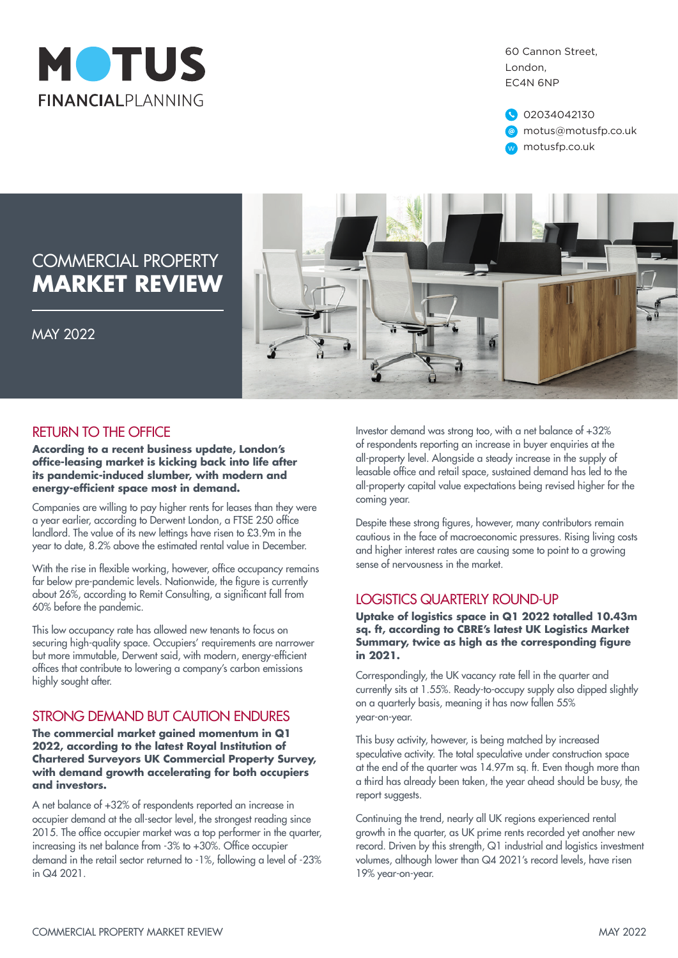

60 Cannon Street, London, EC4N 6NP

02034042130 motus@motusfp.co.uk w motusfp.co.uk

# COMMERCIAL PROPERTY **MARKET REVIEW**



MAY 2022

### RETURN TO THE OFFICE

**According to a recent business update, London's office-leasing market is kicking back into life after its pandemic-induced slumber, with modern and energy-efficient space most in demand.**

Companies are willing to pay higher rents for leases than they were a year earlier, according to Derwent London, a FTSE 250 office landlord. The value of its new lettings have risen to £3.9m in the year to date, 8.2% above the estimated rental value in December.

With the rise in flexible working, however, office occupancy remains far below pre-pandemic levels. Nationwide, the figure is currently about 26%, according to Remit Consulting, a significant fall from 60% before the pandemic.

This low occupancy rate has allowed new tenants to focus on securing high-quality space. Occupiers' requirements are narrower but more immutable, Derwent said, with modern, energy-efficient offices that contribute to lowering a company's carbon emissions highly sought after.

### STRONG DEMAND BUT CAUTION ENDURES

**The commercial market gained momentum in Q1 2022, according to the latest Royal Institution of Chartered Surveyors UK Commercial Property Survey, with demand growth accelerating for both occupiers and investors.**

A net balance of +32% of respondents reported an increase in occupier demand at the all-sector level, the strongest reading since 2015. The office occupier market was a top performer in the quarter, increasing its net balance from -3% to +30%. Office occupier demand in the retail sector returned to -1%, following a level of -23% in Q4 2021.

Investor demand was strong too, with a net balance of +32% of respondents reporting an increase in buyer enquiries at the all-property level. Alongside a steady increase in the supply of leasable office and retail space, sustained demand has led to the all-property capital value expectations being revised higher for the coming year.

Despite these strong figures, however, many contributors remain cautious in the face of macroeconomic pressures. Rising living costs and higher interest rates are causing some to point to a growing sense of nervousness in the market.

#### LOGISTICS QUARTERLY ROUND-UP

**Uptake of logistics space in Q1 2022 totalled 10.43m sq. ft, according to CBRE's latest UK Logistics Market Summary, twice as high as the corresponding figure in 2021.**

Correspondingly, the UK vacancy rate fell in the quarter and currently sits at 1.55%. Ready-to-occupy supply also dipped slightly on a quarterly basis, meaning it has now fallen 55% year-on-year.

This busy activity, however, is being matched by increased speculative activity. The total speculative under construction space at the end of the quarter was 14.97m sq. ft. Even though more than a third has already been taken, the year ahead should be busy, the report suggests.

Continuing the trend, nearly all UK regions experienced rental growth in the quarter, as UK prime rents recorded yet another new record. Driven by this strength, Q1 industrial and logistics investment volumes, although lower than Q4 2021's record levels, have risen 19% year-on-year.